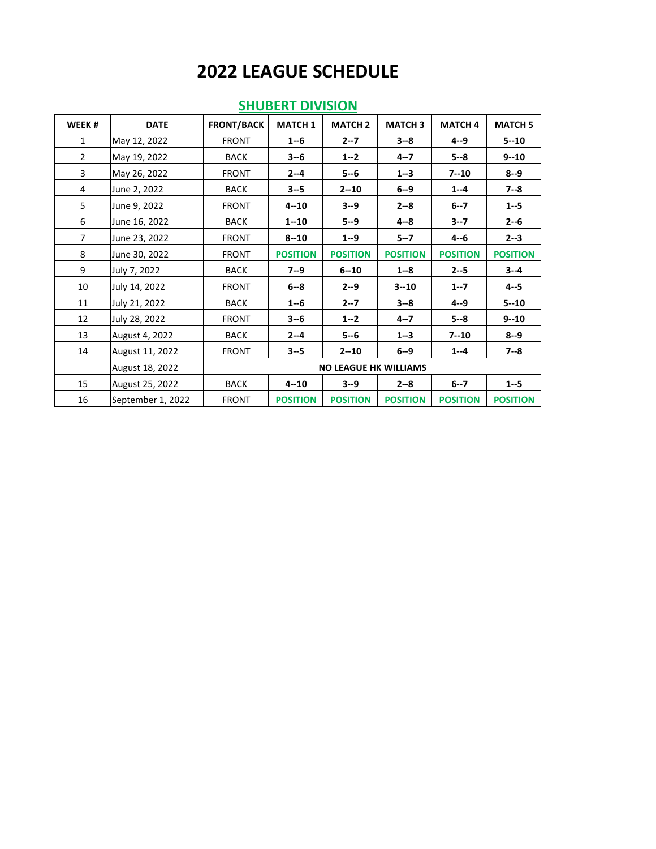| WEEK#          | <b>DATE</b>       | <b>FRONT/BACK</b>            | <b>MATCH 1</b>  | <b>MATCH 2</b>  | <b>MATCH 3</b>  | <b>MATCH 4</b>  | <b>MATCH 5</b>  |  |
|----------------|-------------------|------------------------------|-----------------|-----------------|-----------------|-----------------|-----------------|--|
| 1              | May 12, 2022      | <b>FRONT</b>                 | $1 - 6$         | $2 - 7$         | $3 - 8$         | $4 - 9$         | $5 - 10$        |  |
| $\overline{2}$ | May 19, 2022      | <b>BACK</b>                  | $3 - 6$         | $1 - 2$         | $4 - 7$         | $5 - 8$         | $9 - 10$        |  |
| 3              | May 26, 2022      | <b>FRONT</b>                 | $2 - 4$         | $5 - 6$         | $1 - 3$         | $7 - 10$        | $8 - 9$         |  |
| 4              | June 2, 2022      | <b>BACK</b>                  | $3 - 5$         | $2 - 10$        | $6 - 9$         | $1 - 4$         | $7 - 8$         |  |
| 5              | June 9, 2022      | <b>FRONT</b>                 | $4 - 10$        | $3 - 9$         | $2 - 8$         | $6 - 7$         | $1 - 5$         |  |
| 6              | June 16, 2022     | <b>BACK</b>                  | $1 - 10$        | $5 - 9$         | 4--8            | $3 - 7$         | $2 - 6$         |  |
| $\overline{7}$ | June 23, 2022     | <b>FRONT</b>                 | $8 - 10$        | $1 - 9$         | $5 - 7$         | $4 - 6$         | $2 - 3$         |  |
| 8              | June 30, 2022     | <b>FRONT</b>                 | <b>POSITION</b> | <b>POSITION</b> | <b>POSITION</b> | <b>POSITION</b> | <b>POSITION</b> |  |
| 9              | July 7, 2022      | <b>BACK</b>                  | $7 - 9$         | $6 - 10$        | $1 - 8$         | $2 - 5$         | $3 - 4$         |  |
| 10             | July 14, 2022     | <b>FRONT</b>                 | $6 - 8$         | $2 - 9$         | $3 - 10$        | $1 - 7$         | $4 - 5$         |  |
| 11             | July 21, 2022     | <b>BACK</b>                  | $1 - 6$         | $2 - 7$         | $3 - 8$         | $4 - 9$         | $5 - 10$        |  |
| 12             | July 28, 2022     | <b>FRONT</b>                 | $3 - 6$         | $1 - 2$         | $4 - 7$         | $5 - 8$         | $9 - 10$        |  |
| 13             | August 4, 2022    | <b>BACK</b>                  | $2 - 4$         | $5 - 6$         | $1 - 3$         | $7 - 10$        | $8 - 9$         |  |
| 14             | August 11, 2022   | <b>FRONT</b>                 | $3 - 5$         | $2 - 10$        | $6 - 9$         | $1 - 4$         | $7 - 8$         |  |
|                | August 18, 2022   | <b>NO LEAGUE HK WILLIAMS</b> |                 |                 |                 |                 |                 |  |
| 15             | August 25, 2022   | <b>BACK</b>                  | $4 - 10$        | $3 - 9$         | $2 - 8$         | $6 - 7$         | $1 - 5$         |  |
| 16             | September 1, 2022 | <b>FRONT</b>                 | <b>POSITION</b> | <b>POSITION</b> | <b>POSITION</b> | <b>POSITION</b> | <b>POSITION</b> |  |

#### **SHUBERT DIVISION**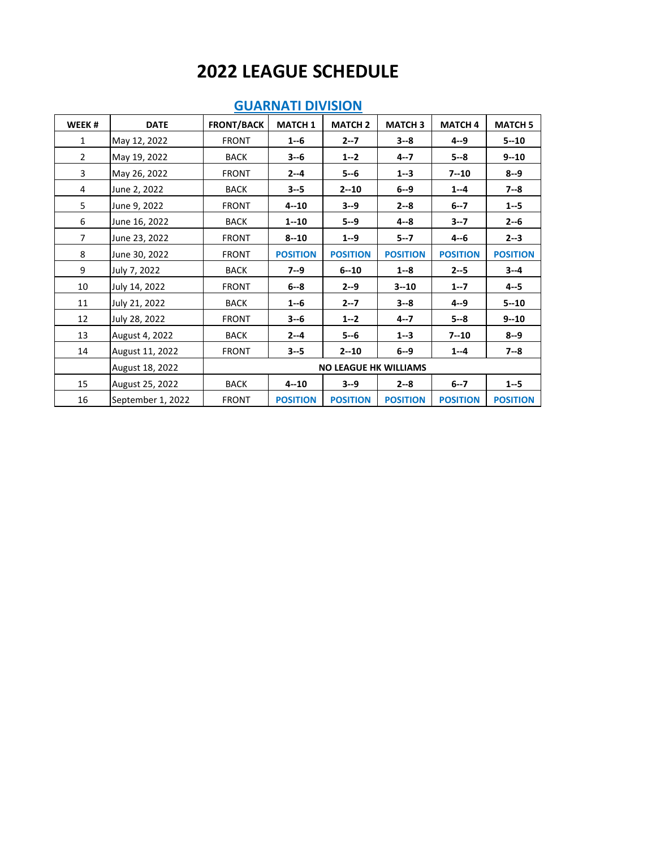| WEEK#          | <b>DATE</b>       | <b>FRONT/BACK</b>            | <b>MATCH 1</b>  | <b>MATCH 2</b>  | <b>MATCH 3</b>  | <b>MATCH 4</b>  | <b>MATCH 5</b>  |  |
|----------------|-------------------|------------------------------|-----------------|-----------------|-----------------|-----------------|-----------------|--|
| $\mathbf{1}$   | May 12, 2022      | <b>FRONT</b>                 | $1 - 6$         | $2 - 7$         | $3 - 8$         | $4 - 9$         | $5 - 10$        |  |
| $\overline{2}$ | May 19, 2022      | <b>BACK</b>                  | $3 - 6$         | $1 - 2$         | $4 - 7$         | $5 - 8$         | $9 - 10$        |  |
| 3              | May 26, 2022      | <b>FRONT</b>                 | $2 - 4$         | $5 - 6$         | $1 - 3$         | $7 - 10$        | $8 - 9$         |  |
| 4              | June 2, 2022      | <b>BACK</b>                  | $3 - 5$         | $2 - 10$        | $6 - 9$         | $1 - 4$         | $7 - 8$         |  |
| 5              | June 9, 2022      | <b>FRONT</b>                 | $4 - 10$        | $3 - 9$         | $2 - 8$         | $6 - 7$         | $1 - 5$         |  |
| 6              | June 16, 2022     | <b>BACK</b>                  | $1 - 10$        | $5 - 9$         | $4 - 8$         | $3 - 7$         | $2 - 6$         |  |
| $\overline{7}$ | June 23, 2022     | <b>FRONT</b>                 | $8 - 10$        | $1 - 9$         | $5 - 7$         | $4 - 6$         | $2 - 3$         |  |
| 8              | June 30, 2022     | <b>FRONT</b>                 | <b>POSITION</b> | <b>POSITION</b> | <b>POSITION</b> | <b>POSITION</b> | <b>POSITION</b> |  |
| 9              | July 7, 2022      | <b>BACK</b>                  | $7 - 9$         | $6 - 10$        | $1 - 8$         | $2 - 5$         | $3 - 4$         |  |
| 10             | July 14, 2022     | <b>FRONT</b>                 | $6 - 8$         | $2 - 9$         | $3 - 10$        | $1 - 7$         | $4 - 5$         |  |
| 11             | July 21, 2022     | <b>BACK</b>                  | $1 - 6$         | $2 - 7$         | $3 - 8$         | $4 - 9$         | $5 - 10$        |  |
| 12             | July 28, 2022     | <b>FRONT</b>                 | $3 - 6$         | $1 - 2$         | $4 - 7$         | $5 - 8$         | $9 - 10$        |  |
| 13             | August 4, 2022    | <b>BACK</b>                  | $2 - 4$         | $5 - 6$         | $1 - 3$         | $7 - 10$        | $8 - 9$         |  |
| 14             | August 11, 2022   | <b>FRONT</b>                 | $3 - 5$         | $2 - 10$        | $6 - 9$         | $1 - 4$         | $7 - 8$         |  |
|                | August 18, 2022   | <b>NO LEAGUE HK WILLIAMS</b> |                 |                 |                 |                 |                 |  |
| 15             | August 25, 2022   | <b>BACK</b>                  | $4 - 10$        | $3 - 9$         | $2 - 8$         | $6 - 7$         | $1 - 5$         |  |
| 16             | September 1, 2022 | <b>FRONT</b>                 | <b>POSITION</b> | <b>POSITION</b> | <b>POSITION</b> | <b>POSITION</b> | <b>POSITION</b> |  |

#### **GUARNATI DIVISION**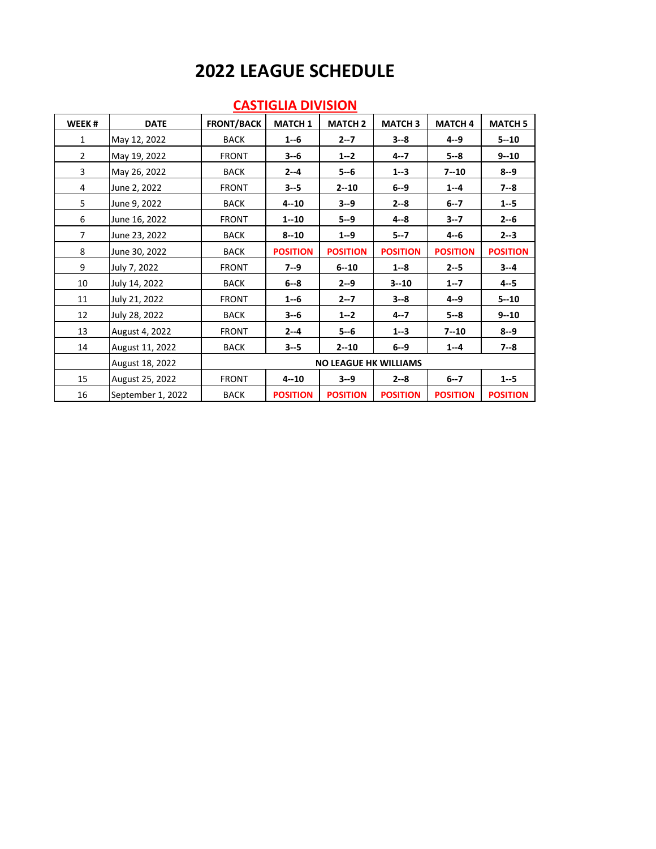| WEEK#          | <b>DATE</b>       | <b>FRONT/BACK</b>            | <b>MATCH 1</b>  | <b>MATCH 2</b>  | <b>MATCH 3</b>  | <b>MATCH 4</b>  | <b>MATCH 5</b>  |  |
|----------------|-------------------|------------------------------|-----------------|-----------------|-----------------|-----------------|-----------------|--|
| 1              | May 12, 2022      | <b>BACK</b>                  | $1 - 6$         | $2 - 7$         | $3 - 8$         | $4 - 9$         | $5 - 10$        |  |
| $\overline{2}$ | May 19, 2022      | <b>FRONT</b>                 | $3 - 6$         | $1 - 2$         | $4 - 7$         | $5 - 8$         | $9 - 10$        |  |
| 3              | May 26, 2022      | <b>BACK</b>                  | $2 - 4$         | $5 - 6$         | $1 - 3$         | $7 - 10$        | $8 - 9$         |  |
| 4              | June 2, 2022      | <b>FRONT</b>                 | $3 - 5$         | $2 - 10$        | $6 - 9$         | $1 - 4$         | $7 - 8$         |  |
| 5              | June 9, 2022      | <b>BACK</b>                  | $4 - 10$        | $3 - 9$         | $2 - 8$         | $6 - 7$         | $1 - 5$         |  |
| 6              | June 16, 2022     | <b>FRONT</b>                 | $1 - 10$        | $5 - 9$         | $4 - 8$         | $3 - 7$         | $2 - 6$         |  |
| $\overline{7}$ | June 23, 2022     | <b>BACK</b>                  | $8 - 10$        | $1 - 9$         | $5 - 7$         | $4 - 6$         | $2 - 3$         |  |
| 8              | June 30, 2022     | <b>BACK</b>                  | <b>POSITION</b> | <b>POSITION</b> | <b>POSITION</b> | <b>POSITION</b> | <b>POSITION</b> |  |
| 9              | July 7, 2022      | <b>FRONT</b>                 | $7 - 9$         | $6 - 10$        | $1 - 8$         | $2 - 5$         | $3 - 4$         |  |
| 10             | July 14, 2022     | <b>BACK</b>                  | $6 - 8$         | $2 - 9$         | $3 - 10$        | $1 - 7$         | $4 - 5$         |  |
| 11             | July 21, 2022     | <b>FRONT</b>                 | $1 - 6$         | $2 - 7$         | $3 - 8$         | $4 - 9$         | $5 - 10$        |  |
| 12             | July 28, 2022     | <b>BACK</b>                  | $3 - 6$         | $1 - 2$         | $4 - 7$         | $5 - 8$         | $9 - 10$        |  |
| 13             | August 4, 2022    | <b>FRONT</b>                 | $2 - 4$         | $5 - 6$         | $1 - 3$         | $7 - 10$        | $8 - 9$         |  |
| 14             | August 11, 2022   | <b>BACK</b>                  | $3 - 5$         | $2 - 10$        | $6 - 9$         | $1 - 4$         | $7 - 8$         |  |
|                | August 18, 2022   | <b>NO LEAGUE HK WILLIAMS</b> |                 |                 |                 |                 |                 |  |
| 15             | August 25, 2022   | <b>FRONT</b>                 | $4 - 10$        | $3 - 9$         | $2 - 8$         | $6 - 7$         | $1 - 5$         |  |
| 16             | September 1, 2022 | <b>BACK</b>                  | <b>POSITION</b> | <b>POSITION</b> | <b>POSITION</b> | <b>POSITION</b> | <b>POSITION</b> |  |

#### **CASTIGLIA DIVISION**